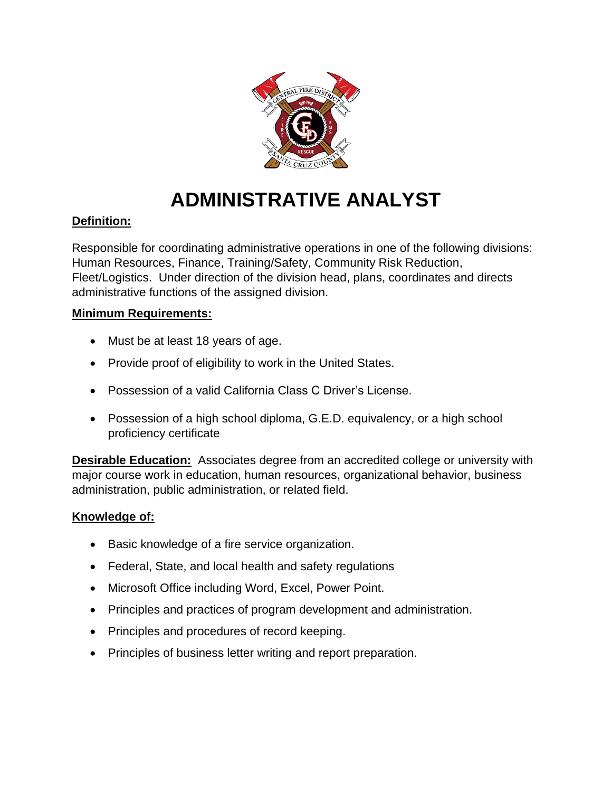

# **ADMINISTRATIVE ANALYST**

# **Definition:**

Responsible for coordinating administrative operations in one of the following divisions: Human Resources, Finance, Training/Safety, Community Risk Reduction, Fleet/Logistics. Under direction of the division head, plans, coordinates and directs administrative functions of the assigned division.

# **Minimum Requirements:**

- Must be at least 18 years of age.
- Provide proof of eligibility to work in the United States.
- Possession of a valid California Class C Driver's License.
- Possession of a high school diploma, G.E.D. equivalency, or a high school proficiency certificate

**Desirable Education:** Associates degree from an accredited college or university with major course work in education, human resources, organizational behavior, business administration, public administration, or related field.

## **Knowledge of:**

- Basic knowledge of a fire service organization.
- Federal, State, and local health and safety regulations
- Microsoft Office including Word, Excel, Power Point.
- Principles and practices of program development and administration.
- Principles and procedures of record keeping.
- Principles of business letter writing and report preparation.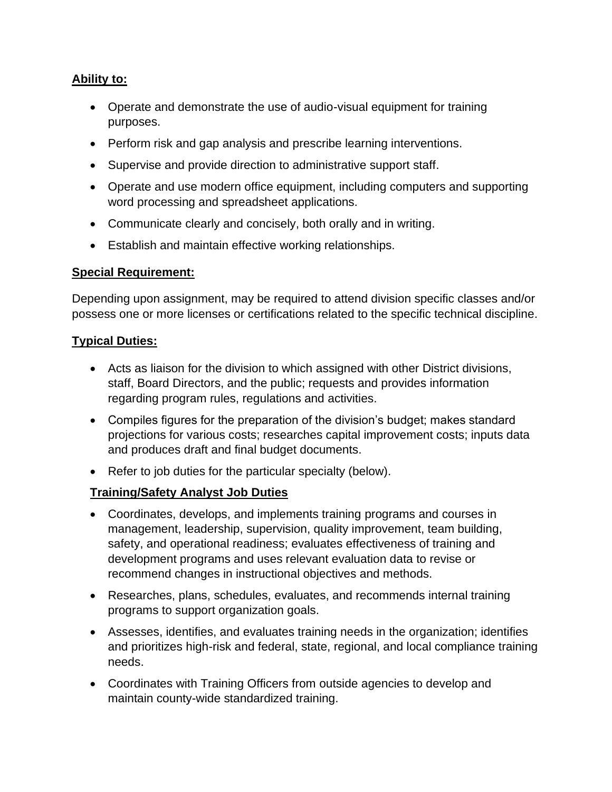## **Ability to:**

- Operate and demonstrate the use of audio-visual equipment for training purposes.
- Perform risk and gap analysis and prescribe learning interventions.
- Supervise and provide direction to administrative support staff.
- Operate and use modern office equipment, including computers and supporting word processing and spreadsheet applications.
- Communicate clearly and concisely, both orally and in writing.
- Establish and maintain effective working relationships.

#### **Special Requirement:**

Depending upon assignment, may be required to attend division specific classes and/or possess one or more licenses or certifications related to the specific technical discipline.

#### **Typical Duties:**

- Acts as liaison for the division to which assigned with other District divisions, staff, Board Directors, and the public; requests and provides information regarding program rules, regulations and activities.
- Compiles figures for the preparation of the division's budget; makes standard projections for various costs; researches capital improvement costs; inputs data and produces draft and final budget documents.
- Refer to job duties for the particular specialty (below).

## **Training/Safety Analyst Job Duties**

- Coordinates, develops, and implements training programs and courses in management, leadership, supervision, quality improvement, team building, safety, and operational readiness; evaluates effectiveness of training and development programs and uses relevant evaluation data to revise or recommend changes in instructional objectives and methods.
- Researches, plans, schedules, evaluates, and recommends internal training programs to support organization goals.
- Assesses, identifies, and evaluates training needs in the organization; identifies and prioritizes high-risk and federal, state, regional, and local compliance training needs.
- Coordinates with Training Officers from outside agencies to develop and maintain county-wide standardized training.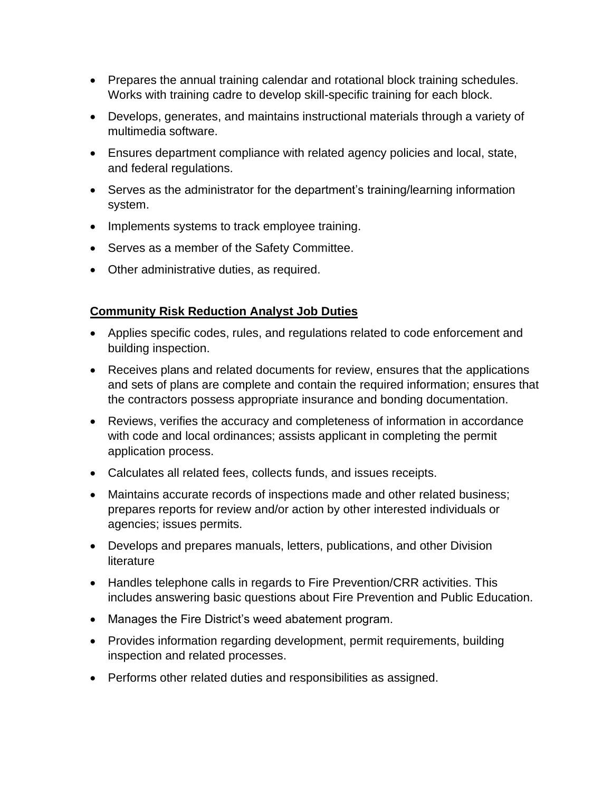- Prepares the annual training calendar and rotational block training schedules. Works with training cadre to develop skill-specific training for each block.
- Develops, generates, and maintains instructional materials through a variety of multimedia software.
- Ensures department compliance with related agency policies and local, state, and federal regulations.
- Serves as the administrator for the department's training/learning information system.
- Implements systems to track employee training.
- Serves as a member of the Safety Committee.
- Other administrative duties, as required.

# **Community Risk Reduction Analyst Job Duties**

- Applies specific codes, rules, and regulations related to code enforcement and building inspection.
- Receives plans and related documents for review, ensures that the applications and sets of plans are complete and contain the required information; ensures that the contractors possess appropriate insurance and bonding documentation.
- Reviews, verifies the accuracy and completeness of information in accordance with code and local ordinances; assists applicant in completing the permit application process.
- Calculates all related fees, collects funds, and issues receipts.
- Maintains accurate records of inspections made and other related business; prepares reports for review and/or action by other interested individuals or agencies; issues permits.
- Develops and prepares manuals, letters, publications, and other Division **literature**
- Handles telephone calls in regards to Fire Prevention/CRR activities. This includes answering basic questions about Fire Prevention and Public Education.
- Manages the Fire District's weed abatement program.
- Provides information regarding development, permit requirements, building inspection and related processes.
- Performs other related duties and responsibilities as assigned.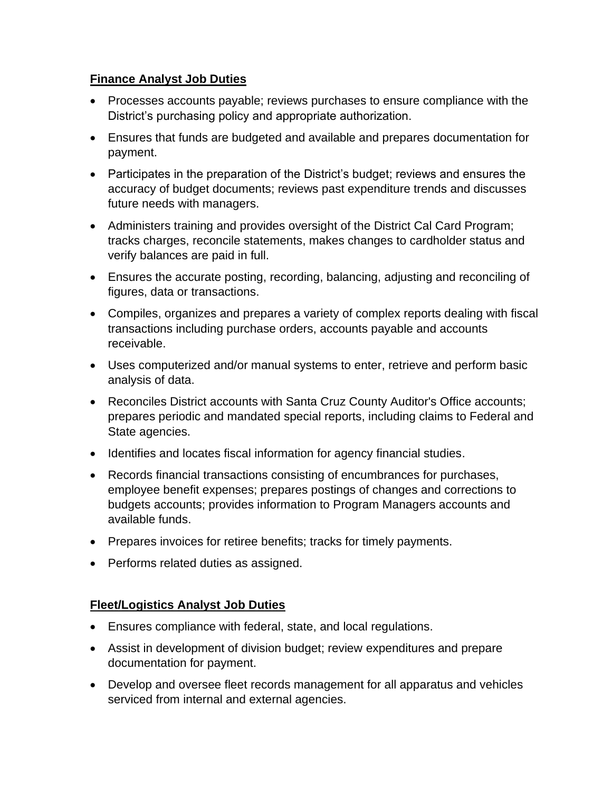## **Finance Analyst Job Duties**

- Processes accounts payable; reviews purchases to ensure compliance with the District's purchasing policy and appropriate authorization.
- Ensures that funds are budgeted and available and prepares documentation for payment.
- Participates in the preparation of the District's budget; reviews and ensures the accuracy of budget documents; reviews past expenditure trends and discusses future needs with managers.
- Administers training and provides oversight of the District Cal Card Program; tracks charges, reconcile statements, makes changes to cardholder status and verify balances are paid in full.
- Ensures the accurate posting, recording, balancing, adjusting and reconciling of figures, data or transactions.
- Compiles, organizes and prepares a variety of complex reports dealing with fiscal transactions including purchase orders, accounts payable and accounts receivable.
- Uses computerized and/or manual systems to enter, retrieve and perform basic analysis of data.
- Reconciles District accounts with Santa Cruz County Auditor's Office accounts; prepares periodic and mandated special reports, including claims to Federal and State agencies.
- Identifies and locates fiscal information for agency financial studies.
- Records financial transactions consisting of encumbrances for purchases, employee benefit expenses; prepares postings of changes and corrections to budgets accounts; provides information to Program Managers accounts and available funds.
- Prepares invoices for retiree benefits; tracks for timely payments.
- Performs related duties as assigned.

## **Fleet/Logistics Analyst Job Duties**

- Ensures compliance with federal, state, and local regulations.
- Assist in development of division budget; review expenditures and prepare documentation for payment.
- Develop and oversee fleet records management for all apparatus and vehicles serviced from internal and external agencies.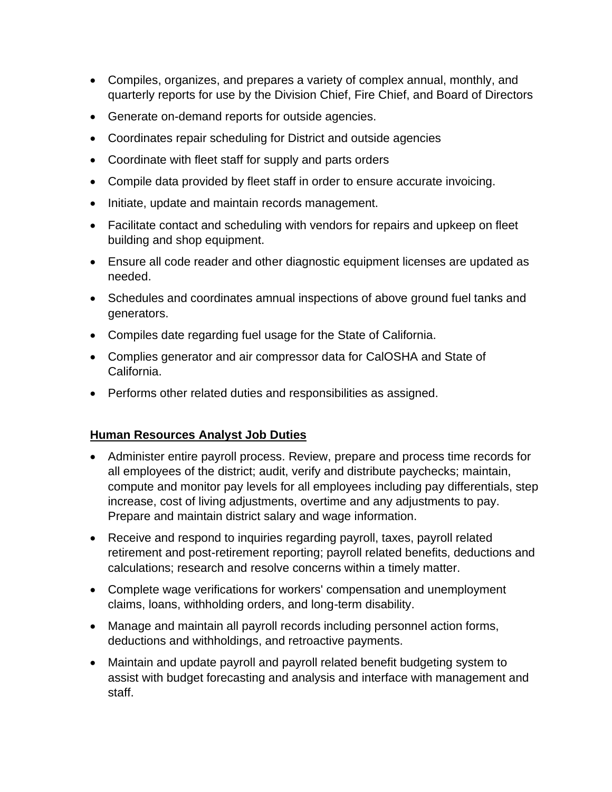- Compiles, organizes, and prepares a variety of complex annual, monthly, and quarterly reports for use by the Division Chief, Fire Chief, and Board of Directors
- Generate on-demand reports for outside agencies.
- Coordinates repair scheduling for District and outside agencies
- Coordinate with fleet staff for supply and parts orders
- Compile data provided by fleet staff in order to ensure accurate invoicing.
- Initiate, update and maintain records management.
- Facilitate contact and scheduling with vendors for repairs and upkeep on fleet building and shop equipment.
- Ensure all code reader and other diagnostic equipment licenses are updated as needed.
- Schedules and coordinates amnual inspections of above ground fuel tanks and generators.
- Compiles date regarding fuel usage for the State of California.
- Complies generator and air compressor data for CalOSHA and State of California.
- Performs other related duties and responsibilities as assigned.

## **Human Resources Analyst Job Duties**

- Administer entire payroll process. Review, prepare and process time records for all employees of the district; audit, verify and distribute paychecks; maintain, compute and monitor pay levels for all employees including pay differentials, step increase, cost of living adjustments, overtime and any adjustments to pay. Prepare and maintain district salary and wage information.
- Receive and respond to inquiries regarding payroll, taxes, payroll related retirement and post-retirement reporting; payroll related benefits, deductions and calculations; research and resolve concerns within a timely matter.
- Complete wage verifications for workers' compensation and unemployment claims, loans, withholding orders, and long-term disability.
- Manage and maintain all payroll records including personnel action forms, deductions and withholdings, and retroactive payments.
- Maintain and update payroll and payroll related benefit budgeting system to assist with budget forecasting and analysis and interface with management and staff.